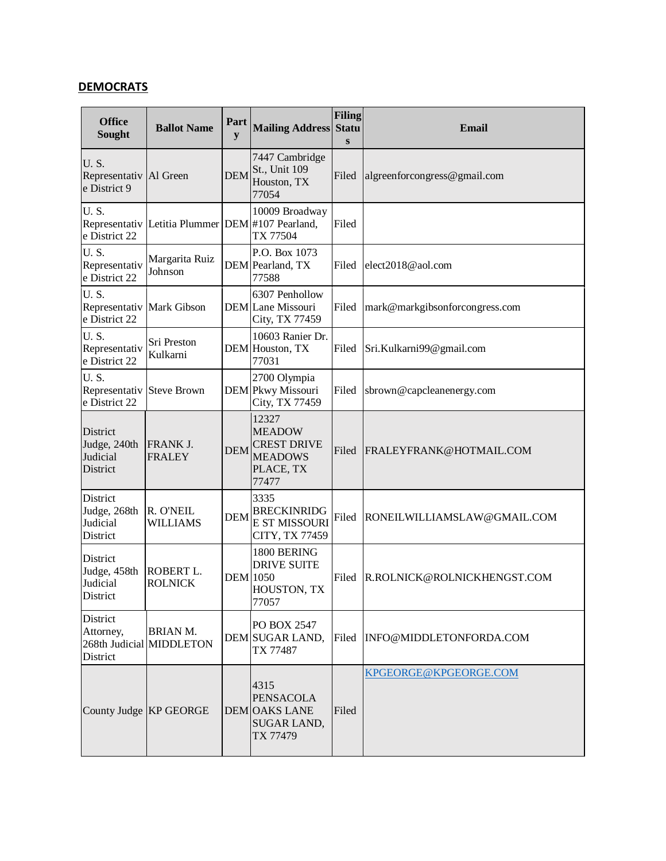## **DEMOCRATS**

| <b>Office</b><br>Sought                                   | <b>Ballot Name</b>                               | Part<br>y       | <b>Mailing Address</b>                                                               | <b>Filing</b><br><b>Statu</b><br>$\bf{s}$ | Email                          |
|-----------------------------------------------------------|--------------------------------------------------|-----------------|--------------------------------------------------------------------------------------|-------------------------------------------|--------------------------------|
| <b>U.S.</b><br>Representativ   Al Green<br>e District 9   |                                                  | <b>DEM</b>      | 7447 Cambridge<br>St., Unit 109<br>Houston, TX<br>77054                              | Filed                                     | algreenforcongress@gmail.com   |
| <b>U.S.</b><br>e District 22                              | Representativ Letitia Plummer DEM #107 Pearland, |                 | 10009 Broadway<br>TX 77504                                                           | Filed                                     |                                |
| <b>U.S.</b><br>Representativ<br>e District 22             | Margarita Ruiz<br>Johnson                        |                 | P.O. Box 1073<br>DEM Pearland, TX<br>77588                                           | Filed                                     | elect2018@aol.com              |
| <b>U.S.</b><br>Representativ Mark Gibson<br>e District 22 |                                                  |                 | 6307 Penhollow<br>DEM Lane Missouri<br>City, TX 77459                                | Filed                                     | mark@markgibsonforcongress.com |
| <b>U.S.</b><br>Representativ<br>e District 22             | Sri Preston<br>Kulkarni                          |                 | 10603 Ranier Dr.<br>DEM Houston, TX<br>77031                                         | Filed                                     | Sri.Kulkarni99@gmail.com       |
| <b>U.S.</b><br>Representativ<br>e District 22             | <b>Steve Brown</b>                               |                 | 2700 Olympia<br>DEM Pkwy Missouri<br>City, TX 77459                                  | Filed                                     | sbrown@capcleanenergy.com      |
| District<br>Judge, 240th<br>Judicial<br>District          | <b>FRANK J.</b><br><b>FRALEY</b>                 | <b>DEM</b>      | 12327<br><b>MEADOW</b><br><b>CREST DRIVE</b><br><b>MEADOWS</b><br>PLACE, TX<br>77477 | Filed                                     | FRALEYFRANK@HOTMAIL.COM        |
| District<br>Judge, 268th<br>Judicial<br>District          | R. O'NEIL<br>WILLIAMS                            | <b>DEM</b>      | 3335<br><b>BRECKINRIDG</b><br>E ST MISSOURI<br>CITY, TX 77459                        | Filed                                     | RONEILWILLIAMSLAW@GMAIL.COM    |
| District<br>Judge, 458th<br>Judicial<br>District          | ROBERT L.<br><b>ROLNICK</b>                      | <b>DEM</b> 1050 | 1800 BERING<br><b>DRIVE SUITE</b><br><b>HOUSTON, TX</b><br>77057                     | Filed                                     | R.ROLNICK@ROLNICKHENGST.COM    |
| District<br>Attorney,<br>District                         | <b>BRIAN M.</b><br>268th Judicial MIDDLETON      |                 | PO BOX 2547<br>DEM SUGAR LAND,<br>TX 77487                                           | Filed                                     | INFO@MIDDLETONFORDA.COM        |
|                                                           | County Judge KP GEORGE                           |                 | 4315<br><b>PENSACOLA</b><br><b>DEM OAKS LANE</b><br><b>SUGAR LAND,</b><br>TX 77479   | Filed                                     | KPGEORGE@KPGEORGE.COM          |